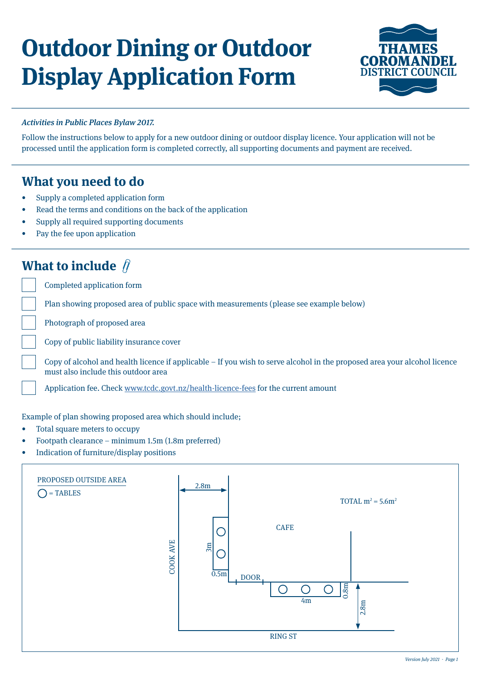# **Outdoor Dining or Outdoor Display Application Form**



### Activities in Public Places Bylaw 2017.

Follow the instructions below to apply for a new outdoor dining or outdoor display licence. Your application will not be processed until the application form is completed correctly, all supporting documents and payment are received.

## **What you need to do**

- Supply a completed application form
- Read the terms and conditions on the back of the application
- Supply all required supporting documents
- Pay the fee upon application

## **What to include**  $\hat{\beta}$

Completed application form

Plan showing proposed area of public space with measurements (please see example below)

Photograph of proposed area

Copy of public liability insurance cover

Copy of alcohol and health licence if applicable – If you wish to serve alcohol in the proposed area your alcohol licence must also include this outdoor area

Application fee. Check [www.tcdc.govt.nz/health-licence-fees](http://www.tcdc.govt.nz/health-licence-fees) for the current amount

#### Example of plan showing proposed area which should include;

- Total square meters to occupy
- Footpath clearance minimum 1.5m (1.8m preferred)
- Indication of furniture/display positions

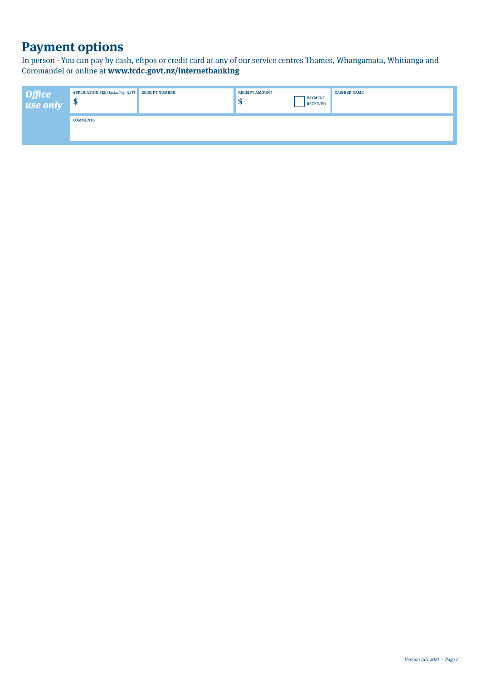## **Payment options**

In person - You can pay by cash, eftpos or credit card at any of our service centres Thames, Whangamata, Whitianga and Coromandel or online at **www.tcdc.govt.nz/internetbanking** 

| Office<br>use only | APPLICATION FEE (Including GST) RECEIPT NUMBER<br>ு |  | <b>RECEIPT AMOUNT</b><br>٨U | <b>PAYMENT</b><br><b>RECEIVED</b> | <b>CASHIER NAME</b> |  |  |
|--------------------|-----------------------------------------------------|--|-----------------------------|-----------------------------------|---------------------|--|--|
|                    | <b>COMMENTS</b>                                     |  |                             |                                   |                     |  |  |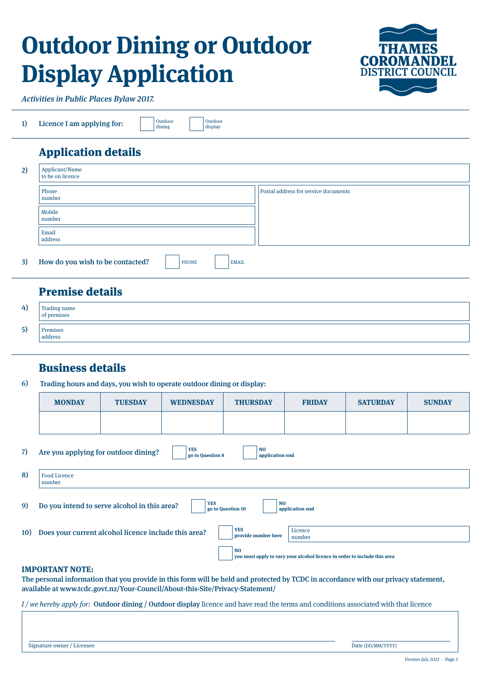# **Outdoor Dining or Outdoor Display Application**



Activities in Public Places Bylaw 2017.

|  | Licence I am applying for: |  | Outdoor<br>dining |
|--|----------------------------|--|-------------------|
|--|----------------------------|--|-------------------|

Outdoor display

## Application details

| 2) | Applicant/Name<br>to be on licence                        |                                      |  |  |  |
|----|-----------------------------------------------------------|--------------------------------------|--|--|--|
|    | Phone<br>number                                           | Postal address for service documents |  |  |  |
|    | Mobile<br>number                                          |                                      |  |  |  |
|    | Email<br>address                                          |                                      |  |  |  |
| 3) | How do you wish to be contacted?<br>PHONE<br><b>EMAIL</b> |                                      |  |  |  |

## Premise details

| 4) | Trading name<br>of premises |
|----|-----------------------------|
| 5) | Premises<br>address         |

## Business details

6) Trading hours and days, you wish to operate outdoor dining or display:

|     | <b>MONDAY</b>                                                                                                                                | <b>TUESDAY</b>                                       | <b>WEDNESDAY</b> | <b>THURSDAY</b>                   | <b>FRIDAY</b>     | <b>SATURDAY</b> | <b>SUNDAY</b> |
|-----|----------------------------------------------------------------------------------------------------------------------------------------------|------------------------------------------------------|------------------|-----------------------------------|-------------------|-----------------|---------------|
|     |                                                                                                                                              |                                                      |                  |                                   |                   |                 |               |
| 7)  | <b>YES</b><br>N <sub>O</sub><br>Are you applying for outdoor dining?<br>go to Question 8<br>application end<br><b>Food Licence</b><br>number |                                                      |                  |                                   |                   |                 |               |
| 8)  |                                                                                                                                              |                                                      |                  |                                   |                   |                 |               |
| 9). | <b>YES</b><br><b>NO</b><br>Do you intend to serve alcohol in this area?<br>go to Question 10<br>application end                              |                                                      |                  |                                   |                   |                 |               |
| 10) |                                                                                                                                              | Does your current alcohol licence include this area? |                  | <b>YES</b><br>provide number here | Licence<br>number |                 |               |
|     | N <sub>O</sub><br>you must apply to vary your alcohol licence in order to include this area                                                  |                                                      |                  |                                   |                   |                 |               |

#### **IMPORTANT NOTE:**

The personal information that you provide in this form will be held and protected by TCDC in accordance with our privacy statement, available at www.tcdc.govt.nz/Your-Council/About-this-Site/Privacy-Statement/

 $I/w$ e hereby apply for: Outdoor dining / Outdoor display licence and have read the terms and conditions associated with that licence